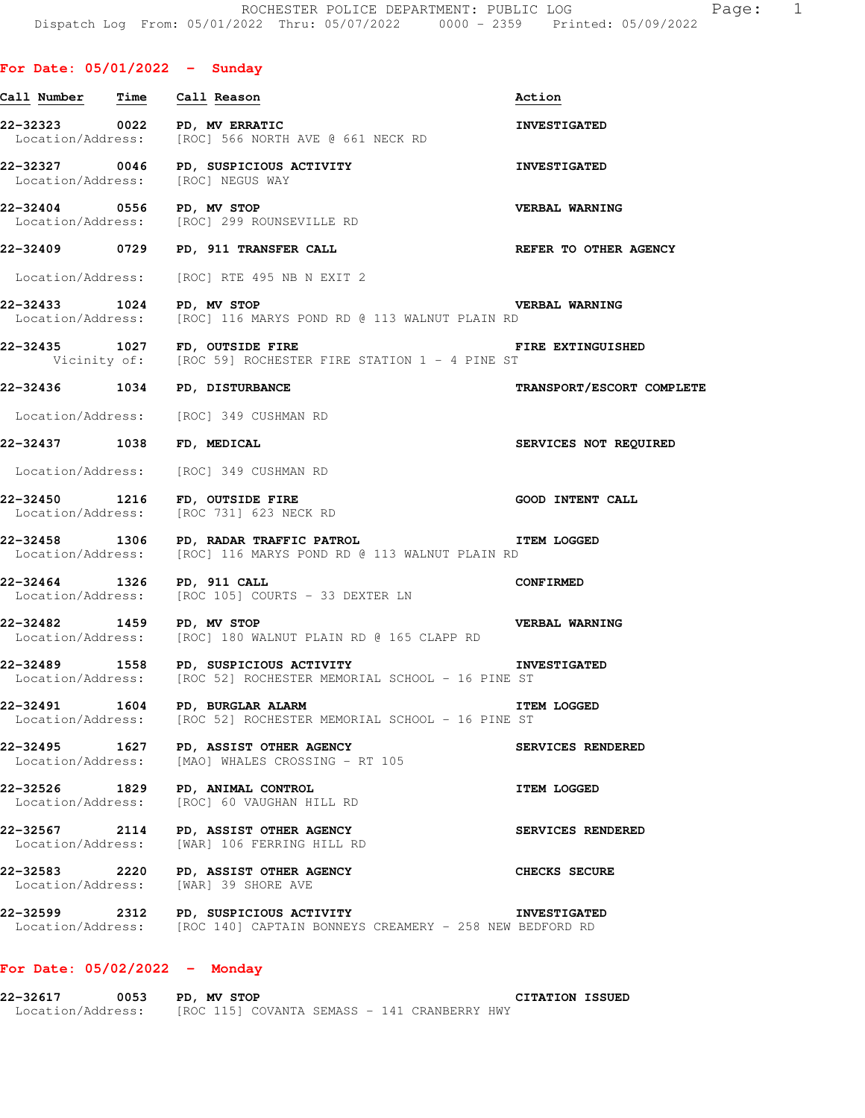| Call Number Time  | Call Reason                                                                                                        | Action                                                                                                                                                                                                                                                                                                                                                                                                                                                                                                                                                                                                                                                                                                                                                                                                                                                                                                                                                                                                                                                                                                                                                                                                                                                                                                                                                                                                                                                                                                                                                                                                                  |
|-------------------|--------------------------------------------------------------------------------------------------------------------|-------------------------------------------------------------------------------------------------------------------------------------------------------------------------------------------------------------------------------------------------------------------------------------------------------------------------------------------------------------------------------------------------------------------------------------------------------------------------------------------------------------------------------------------------------------------------------------------------------------------------------------------------------------------------------------------------------------------------------------------------------------------------------------------------------------------------------------------------------------------------------------------------------------------------------------------------------------------------------------------------------------------------------------------------------------------------------------------------------------------------------------------------------------------------------------------------------------------------------------------------------------------------------------------------------------------------------------------------------------------------------------------------------------------------------------------------------------------------------------------------------------------------------------------------------------------------------------------------------------------------|
|                   |                                                                                                                    | <b>INVESTIGATED</b>                                                                                                                                                                                                                                                                                                                                                                                                                                                                                                                                                                                                                                                                                                                                                                                                                                                                                                                                                                                                                                                                                                                                                                                                                                                                                                                                                                                                                                                                                                                                                                                                     |
|                   |                                                                                                                    | <b>INVESTIGATED</b>                                                                                                                                                                                                                                                                                                                                                                                                                                                                                                                                                                                                                                                                                                                                                                                                                                                                                                                                                                                                                                                                                                                                                                                                                                                                                                                                                                                                                                                                                                                                                                                                     |
|                   |                                                                                                                    | <b>VERBAL WARNING</b>                                                                                                                                                                                                                                                                                                                                                                                                                                                                                                                                                                                                                                                                                                                                                                                                                                                                                                                                                                                                                                                                                                                                                                                                                                                                                                                                                                                                                                                                                                                                                                                                   |
|                   |                                                                                                                    | REFER TO OTHER AGENCY                                                                                                                                                                                                                                                                                                                                                                                                                                                                                                                                                                                                                                                                                                                                                                                                                                                                                                                                                                                                                                                                                                                                                                                                                                                                                                                                                                                                                                                                                                                                                                                                   |
|                   |                                                                                                                    |                                                                                                                                                                                                                                                                                                                                                                                                                                                                                                                                                                                                                                                                                                                                                                                                                                                                                                                                                                                                                                                                                                                                                                                                                                                                                                                                                                                                                                                                                                                                                                                                                         |
|                   |                                                                                                                    | <b>VERBAL WARNING</b>                                                                                                                                                                                                                                                                                                                                                                                                                                                                                                                                                                                                                                                                                                                                                                                                                                                                                                                                                                                                                                                                                                                                                                                                                                                                                                                                                                                                                                                                                                                                                                                                   |
|                   |                                                                                                                    | FIRE EXTINGUISHED                                                                                                                                                                                                                                                                                                                                                                                                                                                                                                                                                                                                                                                                                                                                                                                                                                                                                                                                                                                                                                                                                                                                                                                                                                                                                                                                                                                                                                                                                                                                                                                                       |
|                   |                                                                                                                    | TRANSPORT/ESCORT COMPLETE                                                                                                                                                                                                                                                                                                                                                                                                                                                                                                                                                                                                                                                                                                                                                                                                                                                                                                                                                                                                                                                                                                                                                                                                                                                                                                                                                                                                                                                                                                                                                                                               |
|                   |                                                                                                                    |                                                                                                                                                                                                                                                                                                                                                                                                                                                                                                                                                                                                                                                                                                                                                                                                                                                                                                                                                                                                                                                                                                                                                                                                                                                                                                                                                                                                                                                                                                                                                                                                                         |
|                   |                                                                                                                    | SERVICES NOT REQUIRED                                                                                                                                                                                                                                                                                                                                                                                                                                                                                                                                                                                                                                                                                                                                                                                                                                                                                                                                                                                                                                                                                                                                                                                                                                                                                                                                                                                                                                                                                                                                                                                                   |
|                   |                                                                                                                    |                                                                                                                                                                                                                                                                                                                                                                                                                                                                                                                                                                                                                                                                                                                                                                                                                                                                                                                                                                                                                                                                                                                                                                                                                                                                                                                                                                                                                                                                                                                                                                                                                         |
|                   |                                                                                                                    | <b>GOOD INTENT CALL</b>                                                                                                                                                                                                                                                                                                                                                                                                                                                                                                                                                                                                                                                                                                                                                                                                                                                                                                                                                                                                                                                                                                                                                                                                                                                                                                                                                                                                                                                                                                                                                                                                 |
|                   |                                                                                                                    |                                                                                                                                                                                                                                                                                                                                                                                                                                                                                                                                                                                                                                                                                                                                                                                                                                                                                                                                                                                                                                                                                                                                                                                                                                                                                                                                                                                                                                                                                                                                                                                                                         |
|                   |                                                                                                                    | <b>CONFIRMED</b>                                                                                                                                                                                                                                                                                                                                                                                                                                                                                                                                                                                                                                                                                                                                                                                                                                                                                                                                                                                                                                                                                                                                                                                                                                                                                                                                                                                                                                                                                                                                                                                                        |
|                   |                                                                                                                    | <b>VERBAL WARNING</b>                                                                                                                                                                                                                                                                                                                                                                                                                                                                                                                                                                                                                                                                                                                                                                                                                                                                                                                                                                                                                                                                                                                                                                                                                                                                                                                                                                                                                                                                                                                                                                                                   |
|                   |                                                                                                                    |                                                                                                                                                                                                                                                                                                                                                                                                                                                                                                                                                                                                                                                                                                                                                                                                                                                                                                                                                                                                                                                                                                                                                                                                                                                                                                                                                                                                                                                                                                                                                                                                                         |
|                   |                                                                                                                    | <b>ITEM LOGGED</b>                                                                                                                                                                                                                                                                                                                                                                                                                                                                                                                                                                                                                                                                                                                                                                                                                                                                                                                                                                                                                                                                                                                                                                                                                                                                                                                                                                                                                                                                                                                                                                                                      |
|                   |                                                                                                                    | SERVICES RENDERED                                                                                                                                                                                                                                                                                                                                                                                                                                                                                                                                                                                                                                                                                                                                                                                                                                                                                                                                                                                                                                                                                                                                                                                                                                                                                                                                                                                                                                                                                                                                                                                                       |
| Location/Address: | PD, ANIMAL CONTROL                                                                                                 | <b>ITEM LOGGED</b>                                                                                                                                                                                                                                                                                                                                                                                                                                                                                                                                                                                                                                                                                                                                                                                                                                                                                                                                                                                                                                                                                                                                                                                                                                                                                                                                                                                                                                                                                                                                                                                                      |
|                   |                                                                                                                    | SERVICES RENDERED                                                                                                                                                                                                                                                                                                                                                                                                                                                                                                                                                                                                                                                                                                                                                                                                                                                                                                                                                                                                                                                                                                                                                                                                                                                                                                                                                                                                                                                                                                                                                                                                       |
| 22-32583 2220     |                                                                                                                    | CHECKS SECURE                                                                                                                                                                                                                                                                                                                                                                                                                                                                                                                                                                                                                                                                                                                                                                                                                                                                                                                                                                                                                                                                                                                                                                                                                                                                                                                                                                                                                                                                                                                                                                                                           |
|                   | 22-32599 2312 PD, SUSPICIOUS ACTIVITY<br>Location/Address: [ROC 140] CAPTAIN BONNEYS CREAMERY - 258 NEW BEDFORD RD |                                                                                                                                                                                                                                                                                                                                                                                                                                                                                                                                                                                                                                                                                                                                                                                                                                                                                                                                                                                                                                                                                                                                                                                                                                                                                                                                                                                                                                                                                                                                                                                                                         |
|                   |                                                                                                                    | 22-32323 0022 PD, MV ERRATIC<br>Location/Address: [ROC] 566 NORTH AVE @ 661 NECK RD<br>22-32327 0046 PD, SUSPICIOUS ACTIVITY<br>Location/Address: [ROC] NEGUS WAY<br>22-32404 0556 PD, MV STOP<br>Location/Address: [ROC] 299 ROUNSEVILLE RD<br>22-32409 0729 PD, 911 TRANSFER CALL<br>Location/Address: [ROC] RTE 495 NB N EXIT 2<br>22-32433 1024 PD, MV STOP<br>Location/Address: [ROC] 116 MARYS POND RD @ 113 WALNUT PLAIN RD<br>22-32435 1027 FD, OUTSIDE FIRE<br>Vicinity of: [ROC 59] ROCHESTER FIRE STATION 1 - 4 PINE ST<br>22-32436 1034 PD, DISTURBANCE<br>Location/Address: [ROC] 349 CUSHMAN RD<br>22-32437 1038 FD, MEDICAL<br>Location/Address: [ROC] 349 CUSHMAN RD<br>22-32450 1216 FD, OUTSIDE FIRE<br>Location/Address: [ROC 731] 623 NECK RD<br>ITEM LOGGED<br>22-32458 1306 PD, RADAR TRAFFIC PATROL 150 1306 PD 22-32458 1306 PD 2116 MARYS POND RD @ 113 WALNUT PLAIN RD<br>22-32464 1326 PD, 911 CALL<br>Location/Address: [ROC 105] COURTS - 33 DEXTER LN<br>22-32482 1459 PD, MV STOP<br>Location/Address: [ROC] 180 WALNUT PLAIN RD @ 165 CLAPP RD<br>22-32489 1558 PD, SUSPICIOUS ACTIVITY TRIMESTIGATED<br>Location/Address: [ROC 52] ROCHESTER MEMORIAL SCHOOL - 16 PINE ST<br>22-32491 1604 PD, BURGLAR ALARM<br>Location/Address: [ROC 52] ROCHESTER MEMORIAL SCHOOL - 16 PINE ST<br>22-32495 1627 PD, ASSIST OTHER AGENCY<br>Location/Address: [MAO] WHALES CROSSING - RT 105<br>22-32526 1829<br>[ROC] 60 VAUGHAN HILL RD<br>22-32567 2114 PD, ASSIST OTHER AGENCY<br>Location/Address: [WAR] 106 FERRING HILL RD<br>PD, ASSIST OTHER AGENCY<br>Location/Address: [WAR] 39 SHORE AVE |

# **For Date: 05/02/2022 - Monday**

**22-32617 0053 PD, MV STOP CITATION ISSUED**  Location/Address: [ROC 115] COVANTA SEMASS - 141 CRANBERRY HWY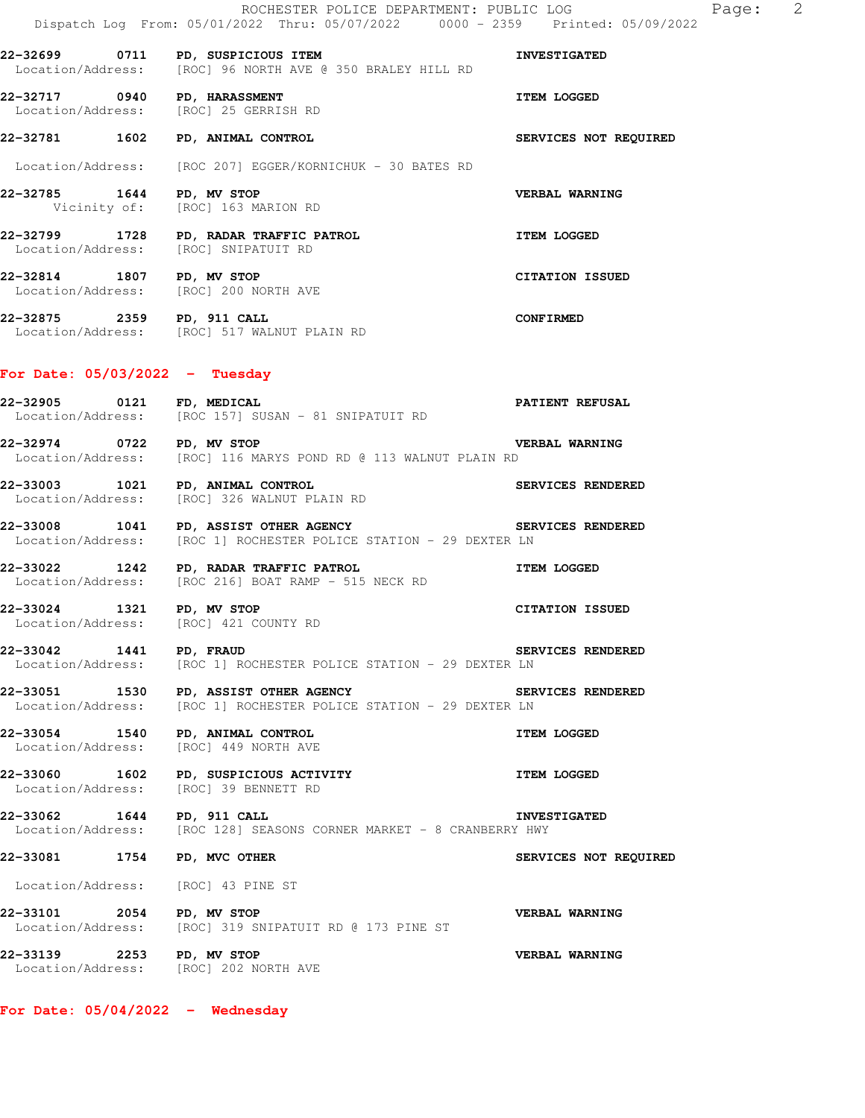|                                      | 22-32699 0711 PD, SUSPICIOUS ITEM<br>Location/Address: [ROC] 96 NORTH AVE @ 350 BRALEY HILL RD | <b>INVESTIGATED</b>    |
|--------------------------------------|------------------------------------------------------------------------------------------------|------------------------|
| 22-32717 0940 PD, HARASSMENT         | Location/Address: [ROC] 25 GERRISH RD                                                          | <b>ITEM LOGGED</b>     |
| 22-32781 1602 PD, ANIMAL CONTROL     |                                                                                                | SERVICES NOT REQUIRED  |
|                                      | Location/Address: [ROC 207] EGGER/KORNICHUK - 30 BATES RD                                      |                        |
| 22-32785 1644 PD, MV STOP            | Vicinity of: [ROC] 163 MARION RD                                                               | VERBAL WARNING         |
| Location/Address: [ROC] SNIPATUIT RD | 22-32799 1728 PD, RADAR TRAFFIC PATROL                                                         | <b>ITEM LOGGED</b>     |
| 22-32814 1807 PD, MV STOP            | Location/Address: [ROC] 200 NORTH AVE                                                          | <b>CITATION ISSUED</b> |
| 22-32875 2359 PD, 911 CALL           | Location/Address: [ROC] 517 WALNUT PLAIN RD                                                    | CONFIRMED              |

# **For Date: 05/03/2022 - Tuesday**

| 22-32905          | 0121  | FD, MEDICAL                                     | <b>PATIENT REFUSAL</b> |
|-------------------|-------|-------------------------------------------------|------------------------|
| Location/Address: |       | [ROC 157] SUSAN - 81 SNIPATUIT RD               |                        |
|                   | 0.700 | $\overline{m}$ $\overline{m}$<br>$\blacksquare$ |                        |

**22-32974 0722 PD, MV STOP VERBAL WARNING**  Location/Address: [ROC] 116 MARYS POND RD @ 113 WALNUT PLAIN RD

**22-33003 1021 PD, ANIMAL CONTROL SERVICES RENDERED**  Location/Address: [ROC] 326 WALNUT PLAIN RD

**22-33008 1041 PD, ASSIST OTHER AGENCY SERVICES RENDERED**  Location/Address: [ROC 1] ROCHESTER POLICE STATION - 29 DEXTER LN

**22-33022 1242 PD, RADAR TRAFFIC PATROL DECALL TRAFE PATROL ITEM LOGGED**<br>
Location/Address: [ROC 216] BOAT RAMP - 515 NECK RD [ROC 216] BOAT RAMP - 515 NECK RD

**22-33024 1321 PD, MV STOP CITATION ISSUED**  Location/Address: [ROC] 421 COUNTY RD

**22-33042 1441 PD, FRAUD SERVICES RENDERED**  Location/Address: [ROC 1] ROCHESTER POLICE STATION - 29 DEXTER LN

**22-33051 1530 PD, ASSIST OTHER AGENCY SERVICES RENDERED**<br>Location/Address: [ROC 1] ROCHESTER POLICE STATION - 29 DEXTER LN [ROC 1] ROCHESTER POLICE STATION - 29 DEXTER LN

**22-33054 1540 PD, ANIMAL CONTROL ITEM LOGGED**  Location/Address: [ROC] 449 NORTH AVE

**22-33060** 1602 PD, SUSPICIOUS ACTIVITY **ITEM LOGGED** Location/Address: [ROC] 39 BENNETT RD

**22-33062 1644 PD, 911 CALL INVESTIGATED**  Location/Address: [ROC 128] SEASONS CORNER MARKET - 8 CRANBERRY HWY

**22-33081 1754 PD, MVC OTHER SERVICES NOT REQUIRED** 

Location/Address: [ROC] 43 PINE ST

**22-33101 2054 PD, MV STOP VERBAL WARNING**  Location/Address: [ROC] 319 SNIPATUIT RD @ 173 PINE ST **22-33139 2253 PD, MV STOP VERBAL WARNING**<br>Location/Address: [ROC] 202 NORTH AVE

[ROC] 202 NORTH AVE

**For Date: 05/04/2022 - Wednesday**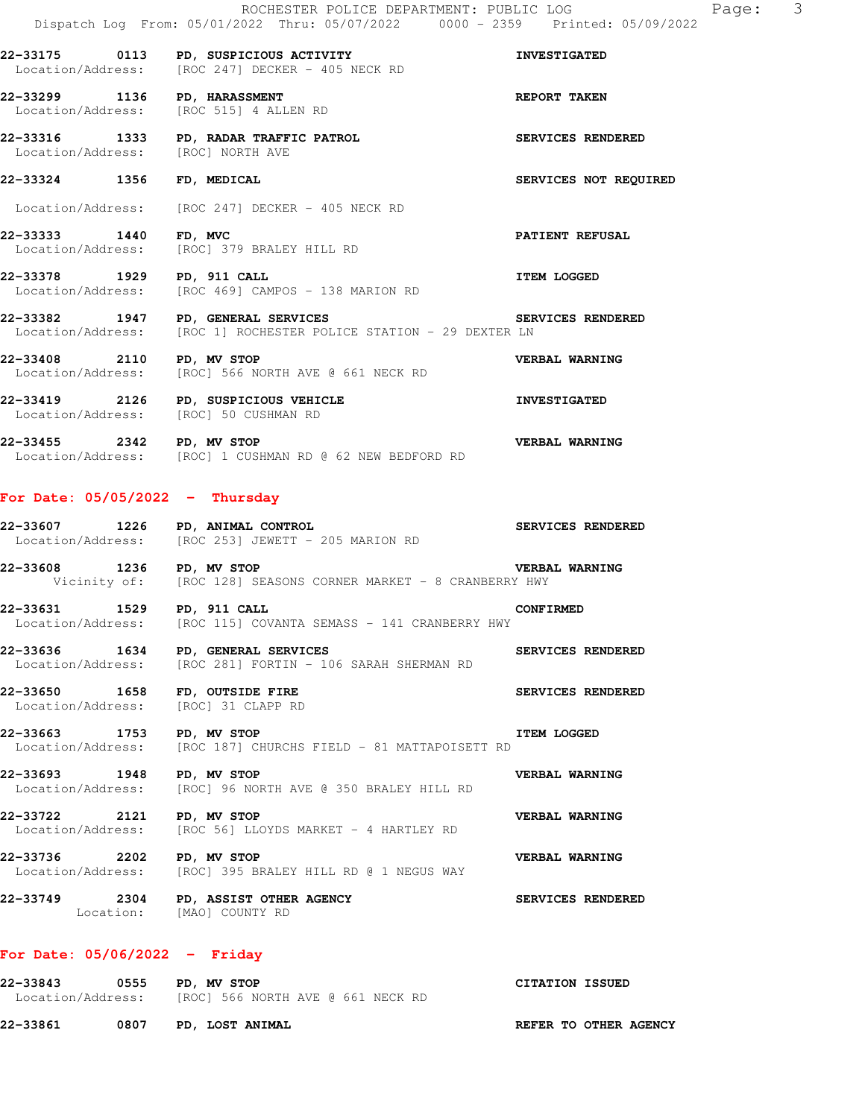**22-33175 0113 PD, SUSPICIOUS ACTIVITY INVESTIGATED** 

**22-33299 1136 PD, HARASSMENT REPORT TAKEN**  Location/Address: [ROC 515] 4 ALLEN RD

Location/Address: [ROC 247] DECKER - 405 NECK RD

**22-33316 1333 PD, RADAR TRAFFIC PATROL SERVICES RENDERED**  Location/Address: [ROC] NORTH AVE

**22-33324 1356 FD, MEDICAL SERVICES NOT REQUIRED** 

Location/Address: [ROC 247] DECKER - 405 NECK RD

**22-33333 1440 FD, MVC PATIENT REFUSAL**  Location/Address: [ROC] 379 BRALEY HILL RD

**22-33378 1929 PD, 911 CALL ITEM LOGGED**  Location/Address: [ROC 469] CAMPOS - 138 MARION RD

**22-33382 1947 PD, GENERAL SERVICES SERVICES RENDERED**  Location/Address: [ROC 1] ROCHESTER POLICE STATION - 29 DEXTER LN

**22-33408 2110 PD, MV STOP** 2001 NECK RD **VERBAL WARNING** Location/Address: [ROC] 566 NORTH AVE @ 661 NECK RD [ROC] 566 NORTH AVE @ 661 NECK RD

**22-33419 2126 PD, SUSPICIOUS VEHICLE INVESTIGATED**  Location/Address: [ROC] 50 CUSHMAN RD

**22-33455 2342 PD, MV STOP VERBAL WARNING**  Location/Address: [ROC] 1 CUSHMAN RD @ 62 NEW BEDFORD RD

#### **For Date: 05/05/2022 - Thursday**

**22-33607 1226 PD, ANIMAL CONTROL SERVICES RENDERED**  Location/Address: [ROC 253] JEWETT - 205 MARION RD

**22-33608 1236 PD, MV STOP VERBAL WARNING**<br>Vicinity of: [ROC 128] SEASONS CORNER MARKET - 8 CRANBERRY HWY [ROC 128] SEASONS CORNER MARKET - 8 CRANBERRY HWY

**22-33631 1529 PD, 911 CALL 22-33631 CONFIRMED**<br>Location/Address: [ROC 115] COVANTA SEMASS - 141 CRANBERRY HWY [ROC 115] COVANTA SEMASS - 141 CRANBERRY HWY

**22-33636 1634 PD, GENERAL SERVICES SERVICES RENDERED**  Location/Address: [ROC 281] FORTIN - 106 SARAH SHERMAN RD

**22-33650 1658 FD, OUTSIDE FIRE SERVICES RENDERED**<br>
Location/Address: [ROC] 31 CLAPP RD Location/Address:

**22-33663 1753 PD, MV STOP ITEM LOGGED**  [ROC 187] CHURCHS FIELD - 81 MATTAPOISETT RD

**22-33693 1948 PD, MV STOP VERBAL WARNING**<br>Location/Address: [ROC] 96 NORTH AVE @ 350 BRALEY HILL RD [ROC] 96 NORTH AVE @ 350 BRALEY HILL RD

**22-33722 2121 PD, MV STOP VERBAL WARNING**  Location/Address: [ROC 56] LLOYDS MARKET - 4 HARTLEY RD

**22-33736 2202 PD, MV STOP VERBAL WARNING**  Location/Address: [ROC] 395 BRALEY HILL RD @ 1 NEGUS WAY

**22-33749 2304 PD, ASSIST OTHER AGENCY SERVICES RENDERED**  Location: [MAO] COUNTY RD

### **For Date: 05/06/2022 - Friday**

**22-33843 0555 PD, MV STOP CITATION ISSUED**  Location/Address: [ROC] 566 NORTH AVE @ 661 NECK RD **22-33861 0807 PD, LOST ANIMAL REFER TO OTHER AGENCY**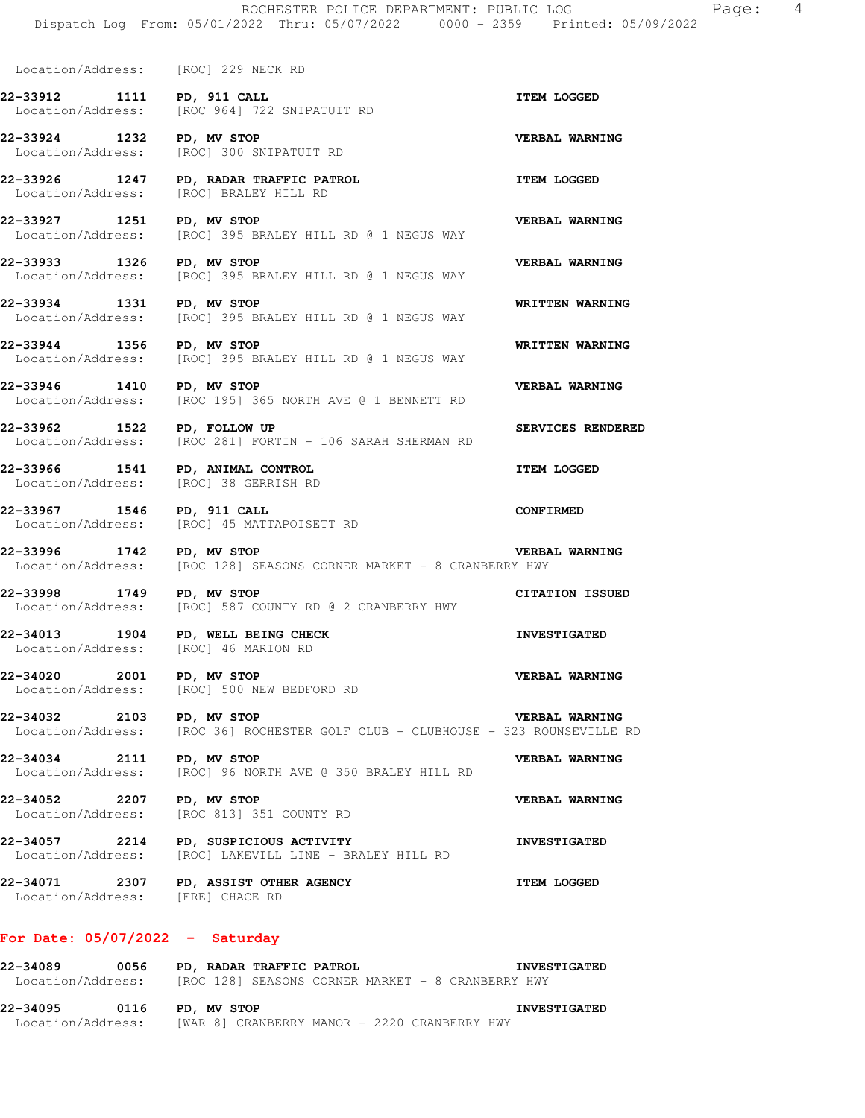Dispatch Log From: 05/01/2022 Thru: 05/07/2022 0000 - 2359 Printed: 05/09/2022

[ROC] 395 BRALEY HILL RD @ 1 NEGUS WAY

[ROC] 395 BRALEY HILL RD @ 1 NEGUS WAY

[ROC 195] 365 NORTH AVE @ 1 BENNETT RD

Location/Address: [ROC] 229 NECK RD

[ROC] BRALEY HILL RD

**22-33912 1111 PD, 911 CALL ITEM LOGGED**  Location/Address: [ROC 964] 722 SNIPATUIT RD

Location/Address: [ROC] 300 SNIPATUIT RD

**22-33926 1247 PD, RADAR TRAFFIC PATROL ITEM LOGGED** 

**22-33927 1251 PD, MV STOP CONCLUST AND REASEL WARNING**<br>
Location/Address: [ROC] 395 BRALEY HILL RD @ 1 NEGUS WAY

**22-33933 1326 PD, MV STOP VERBAL WARNING**  Location/Address: [ROC] 395 BRALEY HILL RD @ 1 NEGUS WAY

**22-33934 1331 PD, MV STOP WRITTEN WARNING**  Location/Address: [ROC] 395 BRALEY HILL RD @ 1 NEGUS WAY

**22-33944 1356 PD, MV STOP** RILL RD @ 1 NEGUS WAY WRITTEN WARNING Location/Address: [ROC] 395 BRALEY HILL RD @ 1 NEGUS WAY

**22-33946 1410 PD, MV STOP CONGERGAL BENNETT RD VERBAL WARNING**<br>
Location/Address: [ROC 195] 365 NORTH AVE @ 1 BENNETT RD

**22-33962 1522 PD, FOLLOW UP SERVICES RENDERED**  Location/Address: [ROC 281] FORTIN - 106 SARAH SHERMAN RD

**22-33966 1541 PD, ANIMAL CONTROL ITEM LOGGED**  Location/Address: [ROC] 38 GERRISH RD

**22-33967 1546 PD, 911 CALL CONFIRMED**  Location/Address: [ROC] 45 MATTAPOISETT RD

**22-34013 1904 PD, WELL BEING CHECK INVESTIGATED**  Location/Address: [ROC] 46 MARION RD

**22-34020 2001 PD, MV STOP VERBAL WARNING**  Location/Address: [ROC] 500 NEW BEDFORD RD

**22-34034 2111 PD, MV STOP VERBAL WARNING**<br>
Location/Address: [ROC] 96 NORTH AVE @ 350 BRALEY HILL RD

**22-34052 2207 PD, MV STOP VERBAL WARNING**  Location/Address: [ROC 813] 351 COUNTY RD

**22-34057 2214 PD, SUSPICIOUS ACTIVITY INVESTIGATED**  Location/Address: [ROC] LAKEVILL LINE - BRALEY HILL RD

**22-34071 2307 PD, ASSIST OTHER AGENCY ITEM LOGGED**  Location/Address: [FRE] CHACE RD

## **For Date: 05/07/2022 - Saturday**

**22-34089 0056 PD, RADAR TRAFFIC PATROL INVESTIGATED**  [ROC 128] SEASONS CORNER MARKET - 8 CRANBERRY HWY

**22-34095 0116 PD, MV STOP INVESTIGATED**  Location/Address: [WAR 8] CRANBERRY MANOR - 2220 CRANBERRY HWY

**22-33924 1232 PD, MV STOP VERBAL WARNING** 

**22-33996 1742 PD, MV STOP VERBAL WARNING**  Location/Address: [ROC 128] SEASONS CORNER MARKET - 8 CRANBERRY HWY

**22-33998 1749 PD, MV STOP CITATION ISSUED**  Location/Address: [ROC] 587 COUNTY RD @ 2 CRANBERRY HWY

**22-34032 2103 PD, MV STOP CLUB - CLUBHOUSE - 323 ROUNSEVILLE**<br>Location/Address: [ROC 36] ROCHESTER GOLF CLUB - CLUBHOUSE - 323 ROUNSEVILLE

[ROC] 96 NORTH AVE @ 350 BRALEY HILL RD

[ROC 36] ROCHESTER GOLF CLUB - CLUBHOUSE - 323 ROUNSEVILLE RD